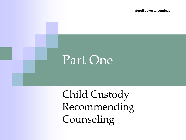**Scroll down to continue**

#### Part One

Child Custody Recommending Counseling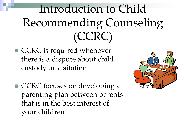## Introduction to Child Recommending Counseling (CCRC)

- CCRC is required whenever there is a dispute about child custody or visitation
- CCRC focuses on developing a parenting plan between parents that is in the best interest of your children

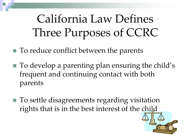## California Law Defines Three Purposes of CCRC

■ To reduce conflict between the parents

- To develop a parenting plan ensuring the child's frequent and continuing contact with both parents
- To settle disagreements regarding visitation rights that is in the best interest of the child

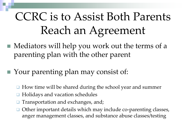## CCRC is to Assist Both Parents Reach an Agreement

- Mediators will help you work out the terms of a parenting plan with the other parent
- Your parenting plan may consist of:
	- How time will be shared during the school year and summer
	- Holidays and vacation schedules
	- Transportation and exchanges, and;
	- Other important details which may include co-parenting classes, anger management classes, and substance abuse classes/testing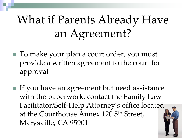# What if Parents Already Have an Agreement?

- To make your plan a court order, you must provide a written agreement to the court for approval
- If you have an agreement but need assistance with the paperwork, contact the Family Law Facilitator/Self-Help Attorney's office located at the Courthouse Annex 120 5<sup>th</sup> Street, Marysville, CA 95901